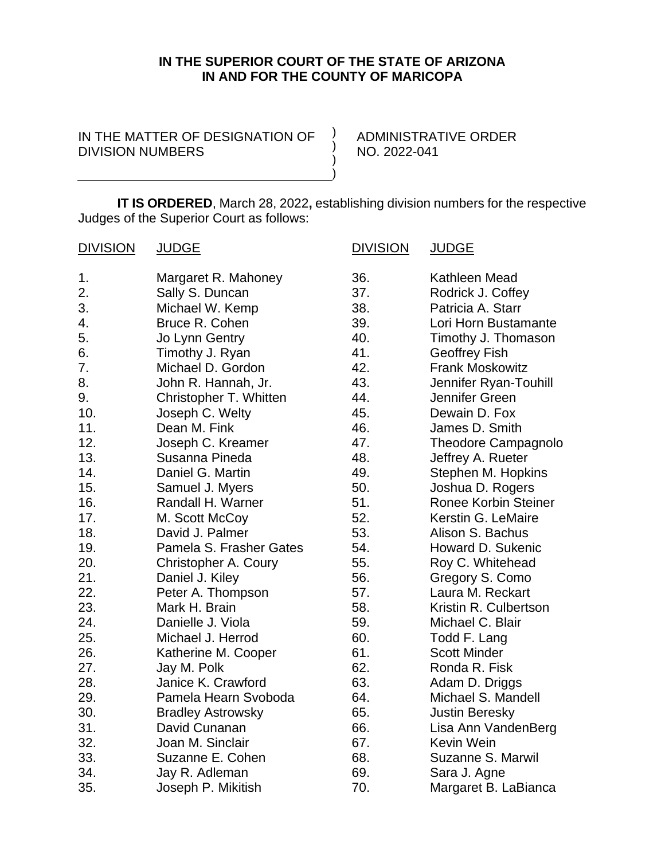## **IN THE SUPERIOR COURT OF THE STATE OF ARIZONA IN AND FOR THE COUNTY OF MARICOPA**

 $\left( \right)$ ) ) )

IN THE MATTER OF DESIGNATION OF DIVISION NUMBERS

ADMINISTRATIVE ORDER NO. 2022-041

**IT IS ORDERED**, March 28, 2022**,** establishing division numbers for the respective Judges of the Superior Court as follows:

| <b>DIVISION</b> | <b>JUDGE</b>             | <b>DIVISION</b> | <b>JUDGE</b>                |
|-----------------|--------------------------|-----------------|-----------------------------|
| 1.              | Margaret R. Mahoney      | 36.             | Kathleen Mead               |
| 2.              | Sally S. Duncan          | 37.             | Rodrick J. Coffey           |
| 3.              | Michael W. Kemp          | 38.             | Patricia A. Starr           |
| 4.              | Bruce R. Cohen           | 39.             | Lori Horn Bustamante        |
| 5.              | Jo Lynn Gentry           | 40.             | Timothy J. Thomason         |
| 6.              | Timothy J. Ryan          | 41.             | <b>Geoffrey Fish</b>        |
| 7.              | Michael D. Gordon        | 42.             | <b>Frank Moskowitz</b>      |
| 8.              | John R. Hannah, Jr.      | 43.             | Jennifer Ryan-Touhill       |
| 9.              | Christopher T. Whitten   | 44.             | Jennifer Green              |
| 10.             | Joseph C. Welty          | 45.             | Dewain D. Fox               |
| 11.             | Dean M. Fink             | 46.             | James D. Smith              |
| 12.             | Joseph C. Kreamer        | 47.             | <b>Theodore Campagnolo</b>  |
| 13.             | Susanna Pineda           | 48.             | Jeffrey A. Rueter           |
| 14.             | Daniel G. Martin         | 49.             | Stephen M. Hopkins          |
| 15.             | Samuel J. Myers          | 50.             | Joshua D. Rogers            |
| 16.             | Randall H. Warner        | 51.             | <b>Ronee Korbin Steiner</b> |
| 17.             | M. Scott McCoy           | 52.             | Kerstin G. LeMaire          |
| 18.             | David J. Palmer          | 53.             | Alison S. Bachus            |
| 19.             | Pamela S. Frasher Gates  | 54.             | Howard D. Sukenic           |
| 20.             | Christopher A. Coury     | 55.             | Roy C. Whitehead            |
| 21.             | Daniel J. Kiley          | 56.             | Gregory S. Como             |
| 22.             | Peter A. Thompson        | 57.             | Laura M. Reckart            |
| 23.             | Mark H. Brain            | 58.             | Kristin R. Culbertson       |
| 24.             | Danielle J. Viola        | 59.             | Michael C. Blair            |
| 25.             | Michael J. Herrod        | 60.             | Todd F. Lang                |
| 26.             | Katherine M. Cooper      | 61.             | <b>Scott Minder</b>         |
| 27.             | Jay M. Polk              | 62.             | Ronda R. Fisk               |
| 28.             | Janice K. Crawford       | 63.             | Adam D. Driggs              |
| 29.             | Pamela Hearn Svoboda     | 64.             | Michael S. Mandell          |
| 30.             | <b>Bradley Astrowsky</b> | 65.             | <b>Justin Beresky</b>       |
| 31.             | David Cunanan            | 66.             | Lisa Ann VandenBerg         |
| 32.             | Joan M. Sinclair         | 67.             | Kevin Wein                  |
| 33.             | Suzanne E. Cohen         | 68.             | Suzanne S. Marwil           |
| 34.             | Jay R. Adleman           | 69.             | Sara J. Agne                |
| 35.             | Joseph P. Mikitish       | 70.             | Margaret B. LaBianca        |